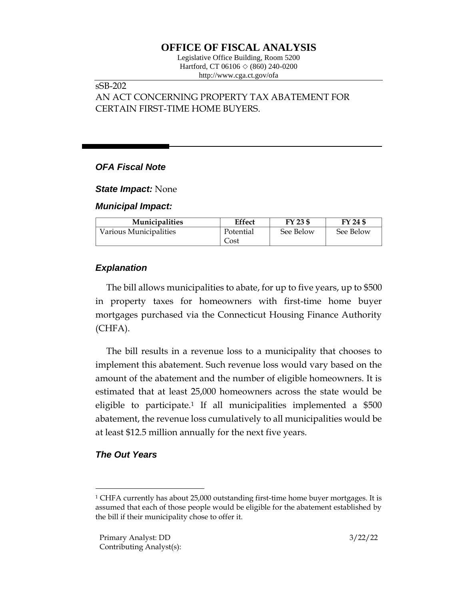# **OFFICE OF FISCAL ANALYSIS**

Legislative Office Building, Room 5200 Hartford, CT 06106  $\Diamond$  (860) 240-0200 http://www.cga.ct.gov/ofa

#### sSB-202

AN ACT CONCERNING PROPERTY TAX ABATEMENT FOR CERTAIN FIRST-TIME HOME BUYERS.

#### *OFA Fiscal Note*

*State Impact:* None

*Municipal Impact:*

| <b>Municipalities</b>  | Effect    | FY 23 \$  | FY 24 \$  |
|------------------------|-----------|-----------|-----------|
| Various Municipalities | Potential | See Below | See Below |
|                        | Cost      |           |           |

## *Explanation*

The bill allows municipalities to abate, for up to five years, up to \$500 in property taxes for homeowners with first-time home buyer mortgages purchased via the Connecticut Housing Finance Authority (CHFA).

The bill results in a revenue loss to a municipality that chooses to implement this abatement. Such revenue loss would vary based on the amount of the abatement and the number of eligible homeowners. It is estimated that at least 25,000 homeowners across the state would be eligible to participate.<sup>1</sup> If all municipalities implemented a \$500 abatement, the revenue loss cumulatively to all municipalities would be at least \$12.5 million annually for the next five years.

### *The Out Years*

<sup>1</sup> CHFA currently has about 25,000 outstanding first-time home buyer mortgages. It is assumed that each of those people would be eligible for the abatement established by the bill if their municipality chose to offer it.